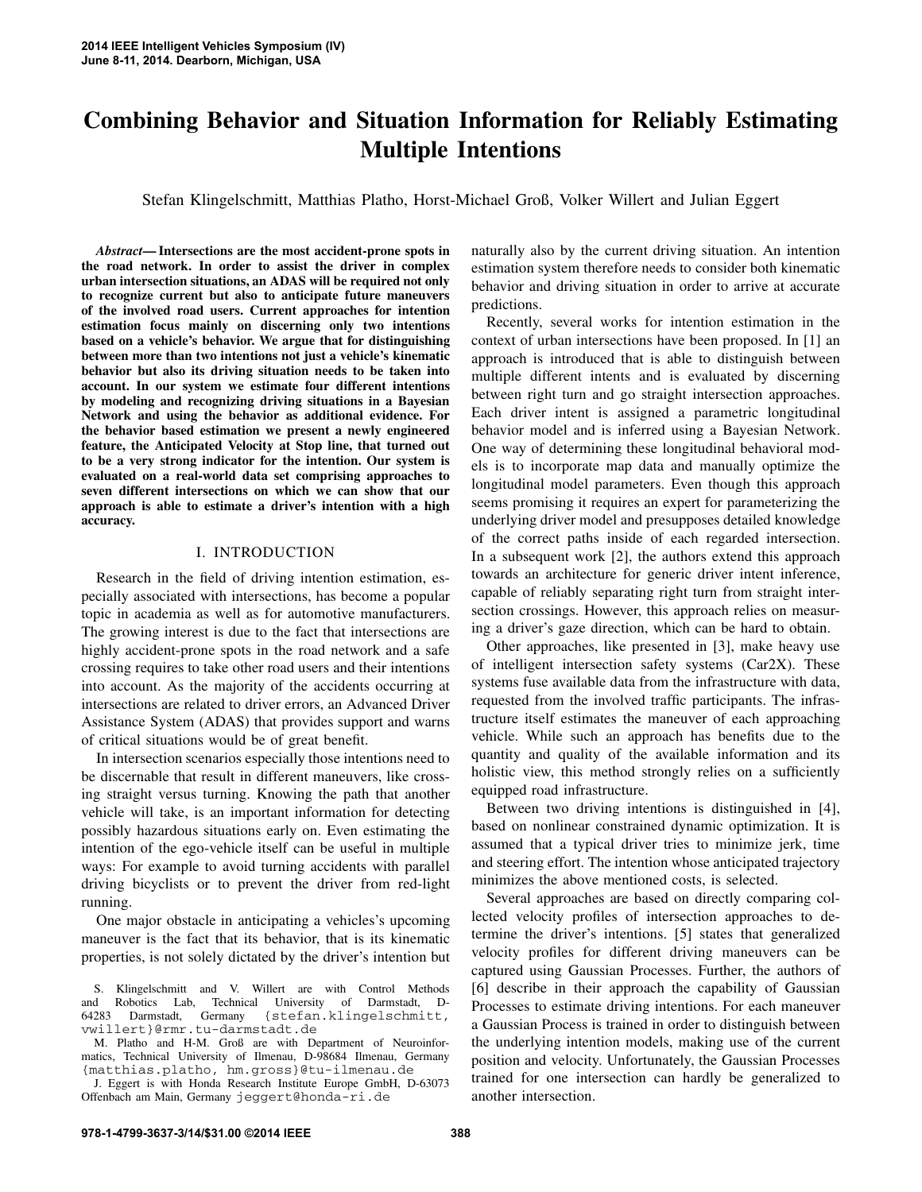# **Combining Behavior and Situation Information for Reliably Estimating Multiple Intentions**

Stefan Klingelschmitt, Matthias Platho, Horst-Michael Groß, Volker Willert and Julian Eggert

*Abstract***— Intersections are the most accident-prone spots in the road network. In order to assist the driver in complex urban intersection situations, an ADAS will be required not only to recognize current but also to anticipate future maneuvers of the involved road users. Current approaches for intention estimation focus mainly on discerning only two intentions based on a vehicle's behavior. We argue that for distinguishing between more than two intentions not just a vehicle's kinematic behavior but also its driving situation needs to be taken into account. In our system we estimate four different intentions by modeling and recognizing driving situations in a Bayesian Network and using the behavior as additional evidence. For the behavior based estimation we present a newly engineered feature, the Anticipated Velocity at Stop line, that turned out to be a very strong indicator for the intention. Our system is evaluated on a real-world data set comprising approaches to seven different intersections on which we can show that our approach is able to estimate a driver's intention with a high accuracy.**

# I. INTRODUCTION

Research in the field of driving intention estimation, especially associated with intersections, has become a popular topic in academia as well as for automotive manufacturers. The growing interest is due to the fact that intersections are highly accident-prone spots in the road network and a safe crossing requires to take other road users and their intentions into account. As the majority of the accidents occurring at intersections are related to driver errors, an Advanced Driver Assistance System (ADAS) that provides support and warns of critical situations would be of great benefit.

In intersection scenarios especially those intentions need to be discernable that result in different maneuvers, like crossing straight versus turning. Knowing the path that another vehicle will take, is an important information for detecting possibly hazardous situations early on. Even estimating the intention of the ego-vehicle itself can be useful in multiple ways: For example to avoid turning accidents with parallel driving bicyclists or to prevent the driver from red-light running.

One major obstacle in anticipating a vehicles's upcoming maneuver is the fact that its behavior, that is its kinematic properties, is not solely dictated by the driver's intention but

M. Platho and H-M. Groß are with Department of Neuroinformatics, Technical University of Ilmenau, D-98684 Ilmenau, Germany {matthias.platho, hm.gross}@tu-ilmenau.de

J. Eggert is with Honda Research Institute Europe GmbH, D-63073 Offenbach am Main, Germany jeggert@honda-ri.de

naturally also by the current driving situation. An intention estimation system therefore needs to consider both kinematic behavior and driving situation in order to arrive at accurate predictions.

Recently, several works for intention estimation in the context of urban intersections have been proposed. In [1] an approach is introduced that is able to distinguish between multiple different intents and is evaluated by discerning between right turn and go straight intersection approaches. Each driver intent is assigned a parametric longitudinal behavior model and is inferred using a Bayesian Network. One way of determining these longitudinal behavioral models is to incorporate map data and manually optimize the longitudinal model parameters. Even though this approach seems promising it requires an expert for parameterizing the underlying driver model and presupposes detailed knowledge of the correct paths inside of each regarded intersection. In a subsequent work [2], the authors extend this approach towards an architecture for generic driver intent inference, capable of reliably separating right turn from straight intersection crossings. However, this approach relies on measuring a driver's gaze direction, which can be hard to obtain.

Other approaches, like presented in [3], make heavy use of intelligent intersection safety systems (Car2X). These systems fuse available data from the infrastructure with data, requested from the involved traffic participants. The infrastructure itself estimates the maneuver of each approaching vehicle. While such an approach has benefits due to the quantity and quality of the available information and its holistic view, this method strongly relies on a sufficiently equipped road infrastructure.

Between two driving intentions is distinguished in [4], based on nonlinear constrained dynamic optimization. It is assumed that a typical driver tries to minimize jerk, time and steering effort. The intention whose anticipated trajectory minimizes the above mentioned costs, is selected.

Several approaches are based on directly comparing collected velocity profiles of intersection approaches to determine the driver's intentions. [5] states that generalized velocity profiles for different driving maneuvers can be captured using Gaussian Processes. Further, the authors of [6] describe in their approach the capability of Gaussian Processes to estimate driving intentions. For each maneuver a Gaussian Process is trained in order to distinguish between the underlying intention models, making use of the current position and velocity. Unfortunately, the Gaussian Processes trained for one intersection can hardly be generalized to another intersection.

S. Klingelschmitt and V. Willert are with Control Methods and Robotics Lab, Technical University of Darmstadt, D-64283 Darmstadt, Germany {stefan.klingelschmitt, vwillert}@rmr.tu-darmstadt.de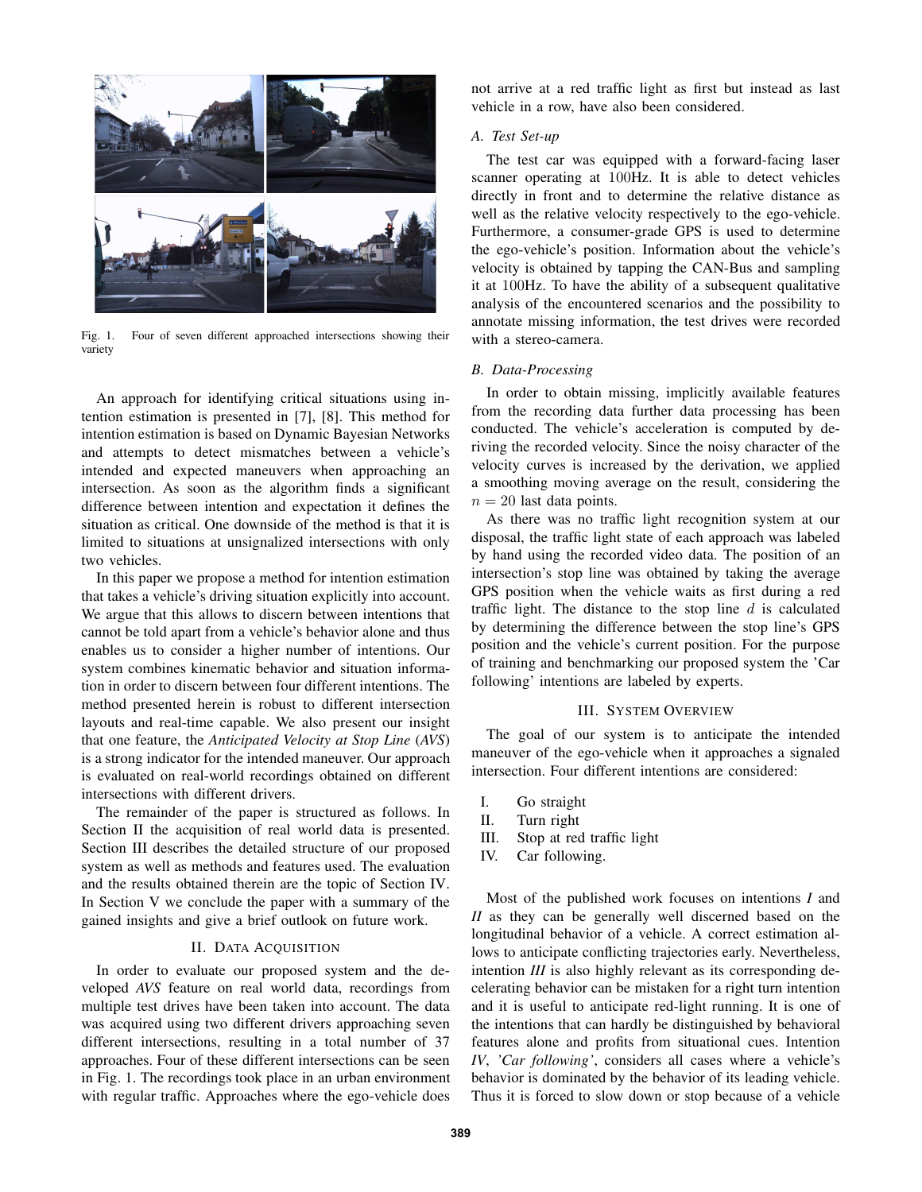

Fig. 1. Four of seven different approached intersections showing their variety

An approach for identifying critical situations using intention estimation is presented in [7], [8]. This method for intention estimation is based on Dynamic Bayesian Networks and attempts to detect mismatches between a vehicle's intended and expected maneuvers when approaching an intersection. As soon as the algorithm finds a significant difference between intention and expectation it defines the situation as critical. One downside of the method is that it is limited to situations at unsignalized intersections with only two vehicles.

In this paper we propose a method for intention estimation that takes a vehicle's driving situation explicitly into account. We argue that this allows to discern between intentions that cannot be told apart from a vehicle's behavior alone and thus enables us to consider a higher number of intentions. Our system combines kinematic behavior and situation information in order to discern between four different intentions. The method presented herein is robust to different intersection layouts and real-time capable. We also present our insight that one feature, the *Anticipated Velocity at Stop Line* (*AVS*) is a strong indicator for the intended maneuver. Our approach is evaluated on real-world recordings obtained on different intersections with different drivers.

The remainder of the paper is structured as follows. In Section II the acquisition of real world data is presented. Section III describes the detailed structure of our proposed system as well as methods and features used. The evaluation and the results obtained therein are the topic of Section IV. In Section V we conclude the paper with a summary of the gained insights and give a brief outlook on future work.

# II. DATA ACQUISITION

In order to evaluate our proposed system and the developed *AVS* feature on real world data, recordings from multiple test drives have been taken into account. The data was acquired using two different drivers approaching seven different intersections, resulting in a total number of 37 approaches. Four of these different intersections can be seen in Fig. 1. The recordings took place in an urban environment with regular traffic. Approaches where the ego-vehicle does not arrive at a red traffic light as first but instead as last vehicle in a row, have also been considered.

# *A. Test Set-up*

The test car was equipped with a forward-facing laser scanner operating at 100Hz. It is able to detect vehicles directly in front and to determine the relative distance as well as the relative velocity respectively to the ego-vehicle. Furthermore, a consumer-grade GPS is used to determine the ego-vehicle's position. Information about the vehicle's velocity is obtained by tapping the CAN-Bus and sampling it at 100Hz. To have the ability of a subsequent qualitative analysis of the encountered scenarios and the possibility to annotate missing information, the test drives were recorded with a stereo-camera.

# *B. Data-Processing*

In order to obtain missing, implicitly available features from the recording data further data processing has been conducted. The vehicle's acceleration is computed by deriving the recorded velocity. Since the noisy character of the velocity curves is increased by the derivation, we applied a smoothing moving average on the result, considering the  $n = 20$  last data points.

As there was no traffic light recognition system at our disposal, the traffic light state of each approach was labeled by hand using the recorded video data. The position of an intersection's stop line was obtained by taking the average GPS position when the vehicle waits as first during a red traffic light. The distance to the stop line  $d$  is calculated by determining the difference between the stop line's GPS position and the vehicle's current position. For the purpose of training and benchmarking our proposed system the 'Car following' intentions are labeled by experts.

# III. SYSTEM OVERVIEW

The goal of our system is to anticipate the intended maneuver of the ego-vehicle when it approaches a signaled intersection. Four different intentions are considered:

- I. Go straight
- II. Turn right
- III. Stop at red traffic light
- IV. Car following.

Most of the published work focuses on intentions *I* and *II* as they can be generally well discerned based on the longitudinal behavior of a vehicle. A correct estimation allows to anticipate conflicting trajectories early. Nevertheless, intention *III* is also highly relevant as its corresponding decelerating behavior can be mistaken for a right turn intention and it is useful to anticipate red-light running. It is one of the intentions that can hardly be distinguished by behavioral features alone and profits from situational cues. Intention *IV*, *'Car following'*, considers all cases where a vehicle's behavior is dominated by the behavior of its leading vehicle. Thus it is forced to slow down or stop because of a vehicle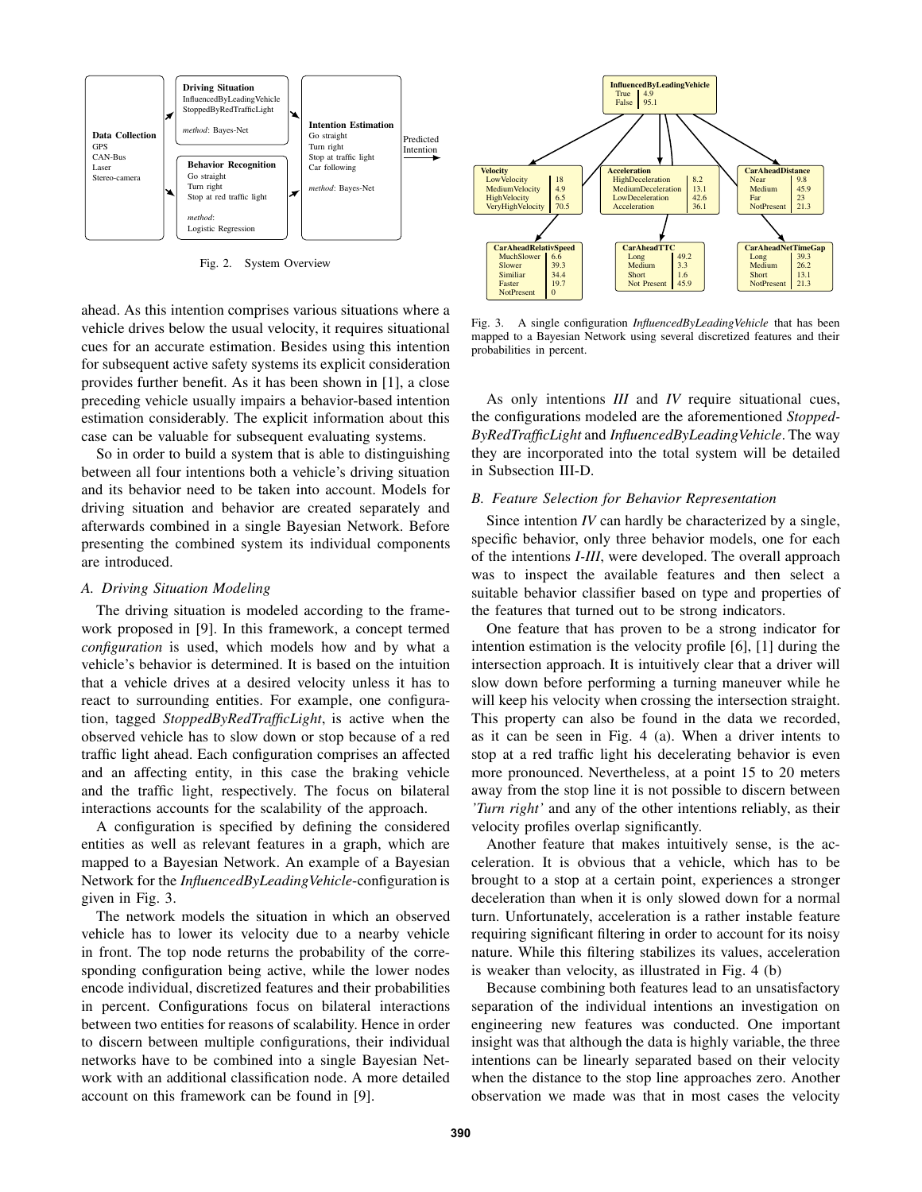

Fig. 2. System Overview

ahead. As this intention comprises various situations where a vehicle drives below the usual velocity, it requires situational cues for an accurate estimation. Besides using this intention for subsequent active safety systems its explicit consideration provides further benefit. As it has been shown in [1], a close preceding vehicle usually impairs a behavior-based intention estimation considerably. The explicit information about this case can be valuable for subsequent evaluating systems.

So in order to build a system that is able to distinguishing between all four intentions both a vehicle's driving situation and its behavior need to be taken into account. Models for driving situation and behavior are created separately and afterwards combined in a single Bayesian Network. Before presenting the combined system its individual components are introduced.

# *A. Driving Situation Modeling*

The driving situation is modeled according to the framework proposed in [9]. In this framework, a concept termed *configuration* is used, which models how and by what a vehicle's behavior is determined. It is based on the intuition that a vehicle drives at a desired velocity unless it has to react to surrounding entities. For example, one configuration, tagged *StoppedByRedTrafficLight*, is active when the observed vehicle has to slow down or stop because of a red traffic light ahead. Each configuration comprises an affected and an affecting entity, in this case the braking vehicle and the traffic light, respectively. The focus on bilateral interactions accounts for the scalability of the approach.

A configuration is specified by defining the considered entities as well as relevant features in a graph, which are mapped to a Bayesian Network. An example of a Bayesian Network for the *InfluencedByLeadingVehicle*-configuration is given in Fig. 3.

The network models the situation in which an observed vehicle has to lower its velocity due to a nearby vehicle in front. The top node returns the probability of the corresponding configuration being active, while the lower nodes encode individual, discretized features and their probabilities in percent. Configurations focus on bilateral interactions between two entities for reasons of scalability. Hence in order to discern between multiple configurations, their individual networks have to be combined into a single Bayesian Network with an additional classification node. A more detailed account on this framework can be found in [9].



Fig. 3. A single configuration *InfluencedByLeadingVehicle* that has been mapped to a Bayesian Network using several discretized features and their probabilities in percent.

As only intentions *III* and *IV* require situational cues, the configurations modeled are the aforementioned *Stopped-ByRedTrafficLight* and *InfluencedByLeadingVehicle*. The way they are incorporated into the total system will be detailed in Subsection III-D.

# *B. Feature Selection for Behavior Representation*

Since intention *IV* can hardly be characterized by a single, specific behavior, only three behavior models, one for each of the intentions *I-III*, were developed. The overall approach was to inspect the available features and then select a suitable behavior classifier based on type and properties of the features that turned out to be strong indicators.

One feature that has proven to be a strong indicator for intention estimation is the velocity profile [6], [1] during the intersection approach. It is intuitively clear that a driver will slow down before performing a turning maneuver while he will keep his velocity when crossing the intersection straight. This property can also be found in the data we recorded, as it can be seen in Fig. 4 (a). When a driver intents to stop at a red traffic light his decelerating behavior is even more pronounced. Nevertheless, at a point 15 to 20 meters away from the stop line it is not possible to discern between *'Turn right'* and any of the other intentions reliably, as their velocity profiles overlap significantly.

Another feature that makes intuitively sense, is the acceleration. It is obvious that a vehicle, which has to be brought to a stop at a certain point, experiences a stronger deceleration than when it is only slowed down for a normal turn. Unfortunately, acceleration is a rather instable feature requiring significant filtering in order to account for its noisy nature. While this filtering stabilizes its values, acceleration is weaker than velocity, as illustrated in Fig. 4 (b)

Because combining both features lead to an unsatisfactory separation of the individual intentions an investigation on engineering new features was conducted. One important insight was that although the data is highly variable, the three intentions can be linearly separated based on their velocity when the distance to the stop line approaches zero. Another observation we made was that in most cases the velocity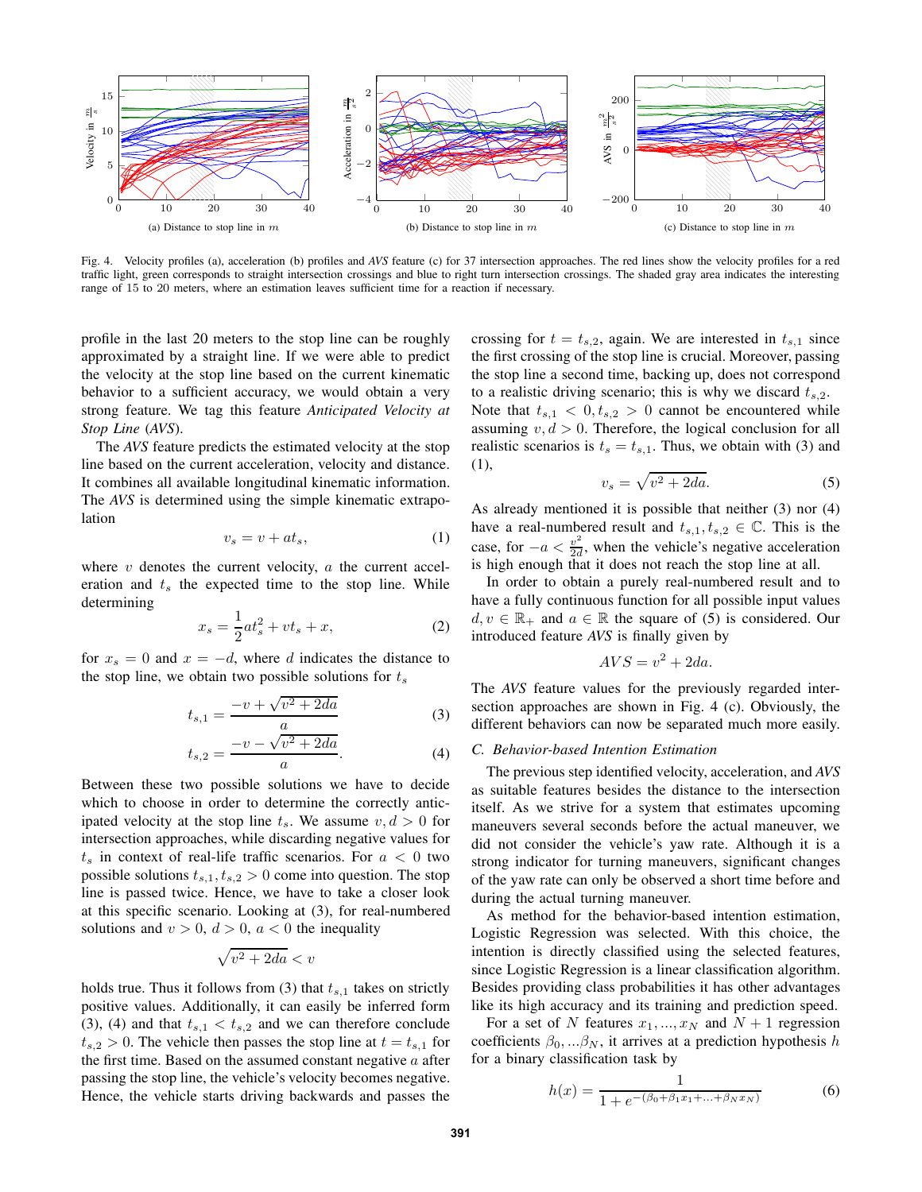

Fig. 4. Velocity profiles (a), acceleration (b) profiles and *AVS* feature (c) for 37 intersection approaches. The red lines show the velocity profiles for a red traffic light, green corresponds to straight intersection crossings and blue to right turn intersection crossings. The shaded gray area indicates the interesting range of 15 to 20 meters, where an estimation leaves sufficient time for a reaction if necessary.

profile in the last 20 meters to the stop line can be roughly approximated by a straight line. If we were able to predict the velocity at the stop line based on the current kinematic behavior to a sufficient accuracy, we would obtain a very strong feature. We tag this feature *Anticipated Velocity at Stop Line* (*AVS*).

The *AVS* feature predicts the estimated velocity at the stop line based on the current acceleration, velocity and distance. It combines all available longitudinal kinematic information. The *AVS* is determined using the simple kinematic extrapolation

$$
v_s = v + at_s,\tag{1}
$$

where  $v$  denotes the current velocity,  $a$  the current acceleration and  $t_s$  the expected time to the stop line. While determining

$$
x_s = \frac{1}{2}at_s^2 + vt_s + x,\tag{2}
$$

for  $x_s = 0$  and  $x = -d$ , where d indicates the distance to the stop line, we obtain two possible solutions for  $t_s$ 

$$
t_{s,1} = \frac{-v + \sqrt{v^2 + 2da}}{a}
$$
 (3)

$$
t_{s,2} = \frac{-v - \sqrt{v^2 + 2da}}{a}.
$$
 (4)

Between these two possible solutions we have to decide which to choose in order to determine the correctly anticipated velocity at the stop line  $t_s$ . We assume  $v, d > 0$  for intersection approaches, while discarding negative values for  $t<sub>s</sub>$  in context of real-life traffic scenarios. For  $a < 0$  two possible solutions  $t_{s,1}, t_{s,2} > 0$  come into question. The stop line is passed twice. Hence, we have to take a closer look at this specific scenario. Looking at (3), for real-numbered solutions and  $v > 0$ ,  $d > 0$ ,  $a < 0$  the inequality

$$
\sqrt{v^2 + 2da} < v
$$

holds true. Thus it follows from (3) that  $t_{s,1}$  takes on strictly positive values. Additionally, it can easily be inferred form (3), (4) and that  $t_{s,1} < t_{s,2}$  and we can therefore conclude  $t_{s,2} > 0$ . The vehicle then passes the stop line at  $t = t_{s,1}$  for the first time. Based on the assumed constant negative  $a$  after passing the stop line, the vehicle's velocity becomes negative. Hence, the vehicle starts driving backwards and passes the

crossing for  $t = t_{s,2}$ , again. We are interested in  $t_{s,1}$  since the first crossing of the stop line is crucial. Moreover, passing the stop line a second time, backing up, does not correspond to a realistic driving scenario; this is why we discard  $t_{s,2}$ .

Note that  $t_{s,1} < 0, t_{s,2} > 0$  cannot be encountered while assuming  $v, d > 0$ . Therefore, the logical conclusion for all realistic scenarios is  $t_s = t_{s,1}$ . Thus, we obtain with (3) and (1),

$$
v_s = \sqrt{v^2 + 2da}.\tag{5}
$$

As already mentioned it is possible that neither (3) nor (4) have a real-numbered result and  $t_{s,1}, t_{s,2} \in \mathbb{C}$ . This is the case, for  $-a < \frac{v^2}{2d}$  $\frac{v^2}{2d}$ , when the vehicle's negative acceleration is high enough that it does not reach the stop line at all.

In order to obtain a purely real-numbered result and to have a fully continuous function for all possible input values  $d, v \in \mathbb{R}_+$  and  $a \in \mathbb{R}$  the square of (5) is considered. Our introduced feature *AVS* is finally given by

$$
AVS = v^2 + 2da.
$$

The *AVS* feature values for the previously regarded intersection approaches are shown in Fig. 4 (c). Obviously, the different behaviors can now be separated much more easily.

#### *C. Behavior-based Intention Estimation*

The previous step identified velocity, acceleration, and *AVS* as suitable features besides the distance to the intersection itself. As we strive for a system that estimates upcoming maneuvers several seconds before the actual maneuver, we did not consider the vehicle's yaw rate. Although it is a strong indicator for turning maneuvers, significant changes of the yaw rate can only be observed a short time before and during the actual turning maneuver.

As method for the behavior-based intention estimation, Logistic Regression was selected. With this choice, the intention is directly classified using the selected features, since Logistic Regression is a linear classification algorithm. Besides providing class probabilities it has other advantages like its high accuracy and its training and prediction speed.

For a set of N features  $x_1, ..., x_N$  and  $N + 1$  regression coefficients  $\beta_0, \ldots, \beta_N$ , it arrives at a prediction hypothesis h for a binary classification task by

$$
h(x) = \frac{1}{1 + e^{-(\beta_0 + \beta_1 x_1 + \dots + \beta_N x_N)}}
$$
(6)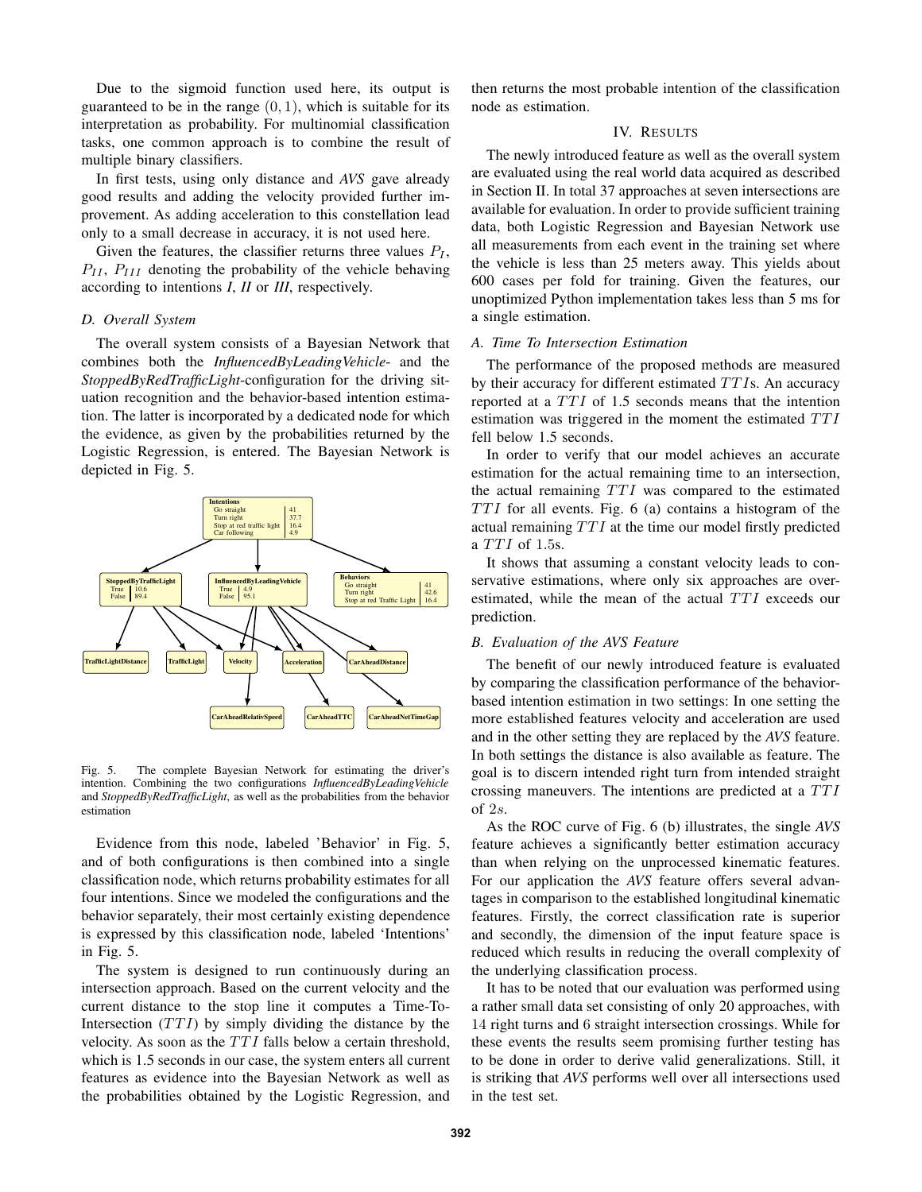Due to the sigmoid function used here, its output is guaranteed to be in the range  $(0, 1)$ , which is suitable for its interpretation as probability. For multinomial classification tasks, one common approach is to combine the result of multiple binary classifiers.

In first tests, using only distance and *AVS* gave already good results and adding the velocity provided further improvement. As adding acceleration to this constellation lead only to a small decrease in accuracy, it is not used here.

Given the features, the classifier returns three values  $P_I$ ,  $P_{II}$ ,  $P_{III}$  denoting the probability of the vehicle behaving according to intentions *I*, *II* or *III*, respectively.

#### *D. Overall System*

The overall system consists of a Bayesian Network that combines both the *InfluencedByLeadingVehicle*- and the *StoppedByRedTrafficLight*-configuration for the driving situation recognition and the behavior-based intention estimation. The latter is incorporated by a dedicated node for which the evidence, as given by the probabilities returned by the Logistic Regression, is entered. The Bayesian Network is depicted in Fig. 5.



Fig. 5. The complete Bayesian Network for estimating the driver's intention. Combining the two configurations *InfluencedByLeadingVehicle* and *StoppedByRedTrafficLight*, as well as the probabilities from the behavior estimation

Evidence from this node, labeled 'Behavior' in Fig. 5, and of both configurations is then combined into a single classification node, which returns probability estimates for all four intentions. Since we modeled the configurations and the behavior separately, their most certainly existing dependence is expressed by this classification node, labeled 'Intentions' in Fig. 5.

The system is designed to run continuously during an intersection approach. Based on the current velocity and the current distance to the stop line it computes a Time-To-Intersection  $(TTI)$  by simply dividing the distance by the velocity. As soon as the  $TTI$  falls below a certain threshold, which is 1.5 seconds in our case, the system enters all current features as evidence into the Bayesian Network as well as the probabilities obtained by the Logistic Regression, and

then returns the most probable intention of the classification node as estimation.

# IV. RESULTS

The newly introduced feature as well as the overall system are evaluated using the real world data acquired as described in Section II. In total 37 approaches at seven intersections are available for evaluation. In order to provide sufficient training data, both Logistic Regression and Bayesian Network use all measurements from each event in the training set where the vehicle is less than 25 meters away. This yields about 600 cases per fold for training. Given the features, our unoptimized Python implementation takes less than 5 ms for a single estimation.

## *A. Time To Intersection Estimation*

The performance of the proposed methods are measured by their accuracy for different estimated  $TTIs$ . An accuracy reported at a TTI of 1.5 seconds means that the intention estimation was triggered in the moment the estimated  $TTI$ fell below 1.5 seconds.

In order to verify that our model achieves an accurate estimation for the actual remaining time to an intersection, the actual remaining  $TTI$  was compared to the estimated  $TTI$  for all events. Fig. 6 (a) contains a histogram of the actual remaining  $TTI$  at the time our model firstly predicted a  $TTI$  of 1.5s.

It shows that assuming a constant velocity leads to conservative estimations, where only six approaches are overestimated, while the mean of the actual  $TTI$  exceeds our prediction.

# *B. Evaluation of the AVS Feature*

The benefit of our newly introduced feature is evaluated by comparing the classification performance of the behaviorbased intention estimation in two settings: In one setting the more established features velocity and acceleration are used and in the other setting they are replaced by the *AVS* feature. In both settings the distance is also available as feature. The goal is to discern intended right turn from intended straight crossing maneuvers. The intentions are predicted at a  $TTI$ of 2s.

As the ROC curve of Fig. 6 (b) illustrates, the single *AVS* feature achieves a significantly better estimation accuracy than when relying on the unprocessed kinematic features. For our application the *AVS* feature offers several advantages in comparison to the established longitudinal kinematic features. Firstly, the correct classification rate is superior and secondly, the dimension of the input feature space is reduced which results in reducing the overall complexity of the underlying classification process.

It has to be noted that our evaluation was performed using a rather small data set consisting of only 20 approaches, with 14 right turns and 6 straight intersection crossings. While for these events the results seem promising further testing has to be done in order to derive valid generalizations. Still, it is striking that *AVS* performs well over all intersections used in the test set.